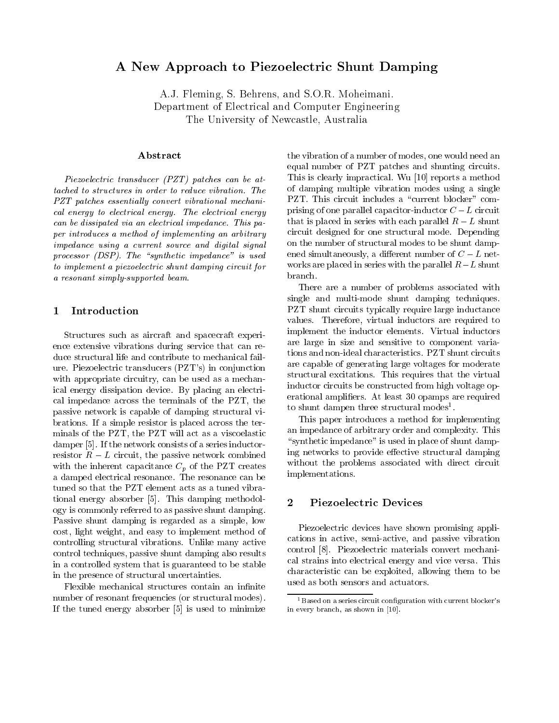# A New Approach to Piezoelectric Shunt Damping

A.J. Fleming, S. Behrens, and S.O.R. Moheimani. Department of Electrical and Computer Engineering The University of Newcastle, Australia

# Abstract

Piezoelectric transducer (PZT) patches can be attached to structures in order to reduce vibration. The PZT patches essentially convert vibrational mechanical energy to electrical energy. The electrical energy can be dissipated via an electrical impedance. This paper introduces a method of implementing an arbitrary impedance using a current source and digital signal processor  $(DSP)$ . The "synthetic impedance" is used to implement a piezoelectric shunt damping circuit for a resonant simply-supported beam.

## Introduction

Structures such as aircraft and spacecraft experience extensive vibrations during service that can reduce structural life and contribute to mechanical failure. Piezoelectric transducers (PZT's) in conjunction with appropriate circuitry, can be used as a mechanical energy dissipation device. By placing an electrical impedance across the terminals of the PZT, the passive network is capable of damping structural vibrations. If a simple resistor is placed across the terminals of the PZT, the PZT will act as a viscoelastic damper [5]. If the network consists of a series inductorresistor  $R - L$  circuit, the passive network combined with the inherent capacitance  $C_p$  of the PZT creates a damped electrical resonance. The resonance can be tuned so that the PZT element acts as a tuned vibrational energy absorber [5]. This damping methodology is commonly referred to as passive shunt damping. Passive shunt damping is regarded as a simple, low cost, light weight, and easy to implement method of controlling structural vibrations. Unlike many active control techniques, passive shunt damping also results in a controlled system that is guaranteed to be stable in the presence of structural uncertainties.

Flexible mechanical structures contain an infinite number of resonant frequencies (or structural modes). If the tuned energy absorber [5] is used to minimize the vibration of a number of modes, one would need an equal number of PZT patches and shunting circuits. This is clearly impractical. Wu [10] reports a method of damping multiple vibration modes using a single PZT. This circuit includes a "current blocker" comprising of one parallel capacitor-inductor  $C-L$  circuit that is placed in series with each parallel  $R-L$  shunt circuit designed for one structural mode. Depending on the number of structural modes to be shunt dampened simultaneously, a different number of  $C - L$  networks are placed in series with the parallel  $R-L$  shunt branch.

There are a number of problems associated with single and multi-mode shunt damping techniques. PZT shunt circuits typically require large inductance values. Therefore, virtual inductors are required to implement the inductor elements. Virtual inductors are large in size and sensitive to component variations and non-ideal characteristics. PZT shunt circuits are capable of generating large voltages for moderate structural excitations. This requires that the virtual inductor circuits be constructed from high voltage operational ampliers. At least 30 opamps are required to shunt dampen three structural modes<sup>1</sup>.

This paper introduces a method for implementing an impedance of arbitrary order and complexity. This "synthetic impedance" is used in place of shunt damping networks to provide effective structural damping without the problems associated with direct circuit implementations.

### 2Piezoelectric Devices

Piezoelectric devices have shown promising applications in active, semi-active, and passive vibration control [8]. Piezoelectric materials convert mechanical strains into electrical energy and vice versa. This characteristic can be exploited, allowing them to be used as both sensors and actuators.

 $1$ Based on a series circuit configuration with current blocker's in every branch, as shown in [10].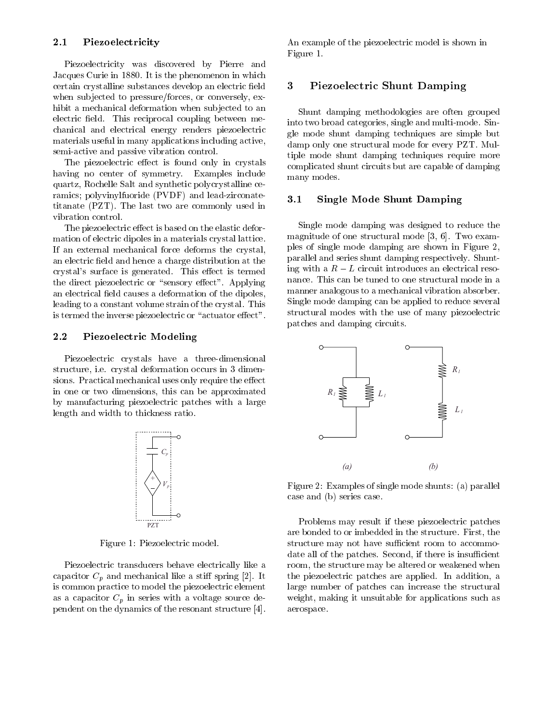## 2.1 Piezoelectricity

Piezoelectricity was discovered by Pierre and Jacques Curie in 1880. It is the phenomenon in which certain crystalline substances develop an electric field when subjected to pressure/forces, or conversely, exhibit a mechanical deformation when subjected to an electric field. This reciprocal coupling between mechanical and electrical energy renders piezoelectric materials useful in many applications including active, semi-active and passive vibration control.

The piezoelectric effect is found only in crystals having no center of symmetry. Examples include quartz, Rochelle Salt and synthetic polycrystalline ceramics; polyvinylfuoride (PVDF) and lead-zirconatetitanate (PZT). The last two are commonly used in vibration control.

The piezoelectric effect is based on the elastic deformation of electric dipoles in a materials crystal lattice. If an external mechanical force deforms the crystal, an electric field and hence a charge distribution at the crystal's surface is generated. This effect is termed the direct piezoelectric or "sensory effect". Applying an electrical field causes a deformation of the dipoles, leading to a constant volume strain of the crystal. This is termed the inverse piezoelectric or "actuator effect".

### 2.2 Piezoelectric Modeling

Piezoelectric crystals have a three-dimensional structure, i.e. crystal deformation occurs in 3 dimensions. Practical mechanical uses only require the effect in one or two dimensions, this can be approximated by manufacturing piezoelectric patches with a large length and width to thickness ratio.



Figure 1: Piezoelectric model.

Piezoelectric transducers behave electrically like a capacitor  $C_p$  and mechanical like a stiff spring [2]. It is common practice to model the piezoelectric element as a capacitor  $C_p$  in series with a voltage source dependent on the dynamics of the resonant structure [4]. An example of the piezoelectric model is shown in Figure 1.

### 3Piezoelectric Shunt Damping

Shunt damping methodologies are often grouped into two broad categories, single and multi-mode. Single mode shunt damping techniques are simple but damp only one structural mode for every PZT. Multiple mode shunt damping techniques require more complicated shunt circuits but are capable of damping many modes.

### 3.1 Single Mode Shunt Damping

Single mode damping was designed to reduce the magnitude of one structural mode [3, 6]. Two examples of single mode damping are shown in Figure 2, parallel and series shunt damping respectively. Shunting with a  $R-L$  circuit introduces an electrical resonance. This can be tuned to one structural mode in a manner analogous to a mechanical vibration absorber. Single mode damping can be applied to reduce several structural modes with the use of many piezoelectric patches and damping circuits.



Figure 2: Examples of single mode shunts: (a) parallel case and (b) series case.

Problems may result if these piezoelectric patches are bonded to or imbedded in the structure. First, the structure may not have sufficient room to accommodate all of the patches. Second, if there is insufficient room, the structure may be altered or weakened when the piezoelectric patches are applied. In addition, a large number of patches can increase the structural weight, making it unsuitable for applications such as aerospace.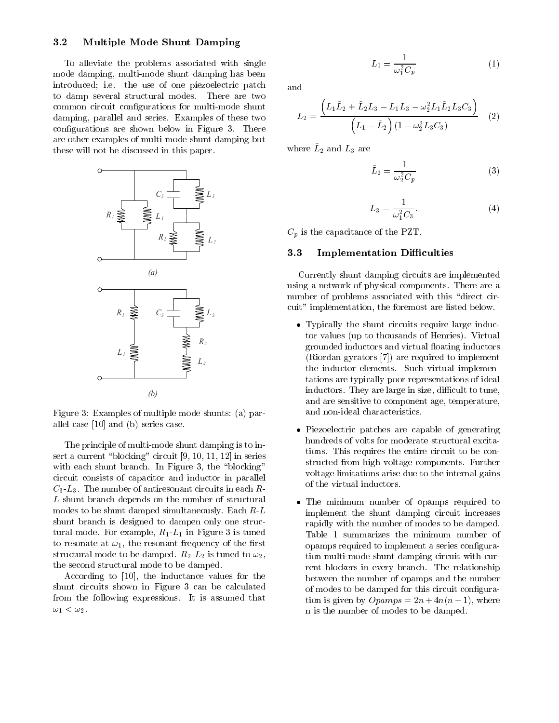## 3.2 Multiple Mode Shunt Damping

To alleviate the problems associated with single mode damping, multi-mode shunt damping has been introduced; i.e. the use of one piezoelectric patch to damp several structural modes. There are two common circuit configurations for multi-mode shunt damping, parallel and series. Examples of these two configurations are shown below in Figure 3. There are other examples of multi-mode shunt damping but these will not be discussed in this paper.



Figure 3: Examples of multiple mode shunts: (a) parallel case [10] and (b) series case.

The principle of multi-mode shunt damping is to insert a current "blocking" circuit  $[9, 10, 11, 12]$  in series with each shunt branch. In Figure 3, the "blocking" circuit consists of capacitor and inductor in parallel  $C_3$ -L<sub>3</sub>. The number of antiresonant circuits in each R-L shunt branch depends on the number of structural modes to be shunt damped simultaneously. Each R-L shunt branch is designed to dampen only one structural mode. For example,  $R_1 - L_1$  in Figure 3 is tuned to resonate at  $\omega_1$ , the resonant frequency of the first structural mode to be damped.  $R_2-L_2$  is tuned to  $\omega_2$ , the second structural mode to be damped.

According to [10], the inductance values for the shunt circuits shown in Figure 3 can be calculated from the following expressions. It is assumed that  $\omega_1 < \omega_2$ .

$$
L_1 = \frac{1}{\omega_1^2 C_p} \tag{1}
$$

$$
L_2 = \frac{\left(L_1\tilde{L}_2 + \tilde{L}_2L_3 - L_1L_3 - \omega_2^2L_1\tilde{L}_2L_3C_3\right)}{\left(L_1 - \tilde{L}_2\right)(1 - \omega_2^2L_3C_3)} \quad (2)
$$

where  $L_2$  and  $L_3$  are

$$
\tilde{L}_2 = \frac{1}{\omega_2^2 C_p} \tag{3}
$$

$$
L_3 = \frac{1}{\omega_1^2 C_3}.\tag{4}
$$

 $C_p$  is the capacitance of the PZT.

#### $3.3$ **Implementation Difficulties**

Currently shunt damping circuits are implemented using a network of physical components. There are a number of problems associated with this "direct circuit" implementation, the foremost are listed below.

- Typically the shunt circuits require large inductor values (up to thousands of Henries). Virtual grounded inductors and virtual floating inductors (Riordan gyrators [7]) are required to implement the inductor elements. Such virtual implementations are typically poor representations of ideal inductors. They are large in size, difficult to tune, and are sensitive to component age, temperature, and non-ideal characteristics.
- Piezoelectric patches are capable of generating hundreds of volts for moderate structural excitations. This requires the entire circuit to be constructed from high voltage components. Further voltage limitations arise due to the internal gains of the virtual inductors.
- The minimum number of opamps required to implement the shunt damping circuit increases rapidly with the number of modes to be damped. Table 1 summarizes the minimum number of opamps required to implement a series configuration multi-mode shunt damping circuit with current blockers in every branch. The relationship between the number of opamps and the number of modes to be damped for this circuit conguration is given by  $Opamps = 2n + 4n(n - 1)$ , where n is the number of modes to be damped.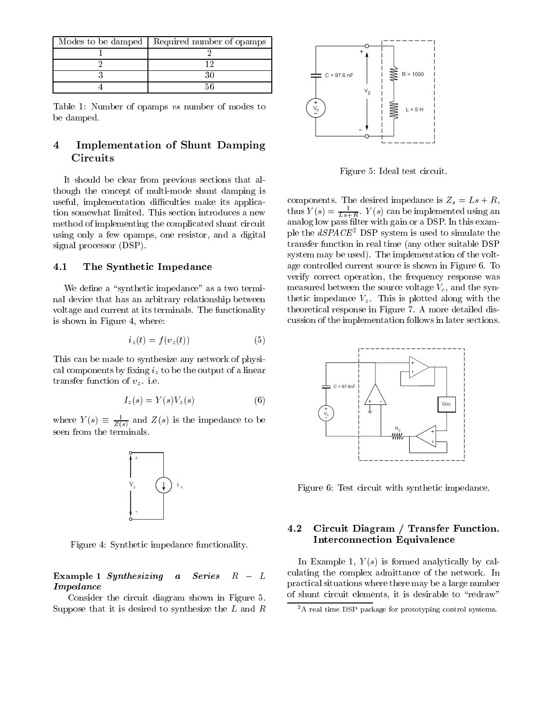| Modes to be damped   Required number of opamps |
|------------------------------------------------|
|                                                |
|                                                |
|                                                |
|                                                |

Table 1: Number of opamps vs number of modes to be damped.

### 4 Implementation of Shunt Damping **Circuits**

It should be clear from previous sections that although the concept of multi-mode shunt damping is useful, implementation difficulties make its application somewhat limited. This section introduces a new method of implementing the complicated shunt circuit using only a few opamps, one resistor, and a digital signal processor (DSP).

### 4.1 The Synthetic Impedance

We define a "synthetic impedance" as a two terminal device that has an arbitrary relationship between voltage and current at its terminals. The functionality is shown in Figure 4, where:

$$
i_z(t) = f(v_z(t))\tag{5}
$$

This can be made to synthesize any network of physical components by fixing  $i_z$  to be the output of a linear transfer function of  $v_z$ . i.e.

$$
I_z(s) = Y(s)V_z(s) \tag{6}
$$

where  $Y(s) = \frac{Z(s)}{Z(s)}$  and  $Z(s)$  is the impedance to be seen from the terminals.



Figure 4: Synthetic impedance functionality.

### Example 1 Synthesizing a Series  $R - L$ Impedance

Consider the circuit diagram shown in Figure 5. Suppose that it is desired to synthesize the L and R



Figure 5: Ideal test circuit.

thus  $Y(s) = \frac{1}{L_s + R}$ .  $Y(s)$  can be implemented using an analog low pass filter with gain or a DSP. In this example the  $dSPACE<sup>2</sup>$  DSP system is used to simulate the transfer function in real time (any other suitable DSP system may be used). The implementation of the voltage controlled current source is shown in Figure 6. To verify correct operation, the frequency response was measured between the source voltage  $V_c$ , and the synthetic impedance  $V_z$ . This is plotted along with the theoretical response in Figure 7. A more detailed discussion of the implementation follows in later sections.



Figure 6: Test circuit with synthetic impedance.

## 4.2 Circuit Diagram / Transfer Function. Interconnection Equivalence

In Example 1,  $Y(s)$  is formed analytically by calculating the complex admittance of the network. In practical situations where there may be a large number of shunt circuit elements, it is desirable to "redraw"

<sup>&</sup>lt;sup>2</sup>A real time DSP package for prototyping control systems.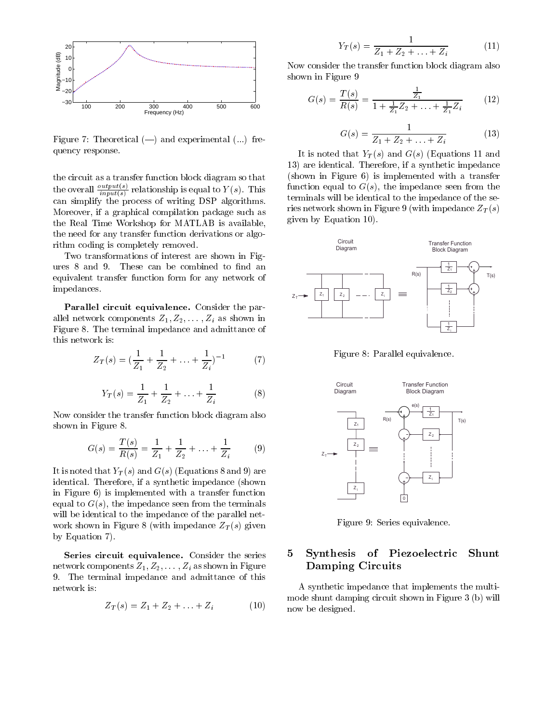

Figure 7: Theoretical  $(-)$  and experimental  $(...)$  frequency response.

 $t$  as a transfer function block diagram so that  $\alpha$  that diagram so that  $\alpha$ the overall  $\frac{r}{input(s)}$  relationship is equal to Y (s). This can simplify the process of writing DSP algorithms. Moreover, if a graphical compilation package such as the Real Time Workshop for MATLAB is available, the need for any transfer function derivations or algorithm coding is completely removed.

Two transformations of interest are shown in Figures 8 and 9. These can be combined to find an equivalent transfer function form for any network of impedances.

Parallel circuit equivalence. Consider the parallel network components  $Z_1, Z_2, \ldots, Z_i$  as shown in Figure 8. The terminal impedance and admittance of this network is:

$$
Z_T(s) = (\frac{1}{Z_1} + \frac{1}{Z_2} + \ldots + \frac{1}{Z_i})^{-1}
$$
 (7)

$$
Y_T(s) = \frac{1}{Z_1} + \frac{1}{Z_2} + \ldots + \frac{1}{Z_i} \tag{8}
$$

Now consider the transfer function block diagram also shown in Figure 8.

$$
G(s) = \frac{T(s)}{R(s)} = \frac{1}{Z_1} + \frac{1}{Z_2} + \dots + \frac{1}{Z_i}
$$
 (9)

It is noted that  $Y_T(s)$  and  $G(s)$  (Equations 8 and 9) are identical. Therefore, if a synthetic impedance (shown in Figure 6) is implemented with a transfer function equal to  $G(s)$ , the impedance seen from the terminals will be identical to the impedance of the parallel network shown in Figure 8 (with impedance  $Z_T(s)$  given by Equation 7).

Series circuit equivalence. Consider the series network components  $Z_1, Z_2, \ldots, Z_i$  as shown in Figure 9. The terminal impedance and admittance of this network is:

$$
Z_T(s) = Z_1 + Z_2 + \ldots + Z_i \tag{10}
$$

$$
Y_T(s) = \frac{1}{Z_1 + Z_2 + \ldots + Z_i} \tag{11}
$$

Now consider the transfer function block diagram also shown in Figure 9

$$
G(s) = \frac{T(s)}{R(s)} = \frac{\frac{1}{Z_1}}{1 + \frac{1}{Z_1}Z_2 + \ldots + \frac{1}{Z_1}Z_i}
$$
 (12)

$$
G(s) = \frac{1}{Z_1 + Z_2 + \ldots + Z_i} \tag{13}
$$

It is noted that  $Y_T(s)$  and  $G(s)$  (Equations 11 and 13) are identical. Therefore, if a synthetic impedance (shown in Figure 6) is implemented with a transfer function equal to  $G(s)$ , the impedance seen from the terminals will be identical to the impedance of the series network shown in Figure 9 (with impedance  $Z_T(s)$ ) given by Equation 10).



Figure 8: Parallel equivalence.



Figure 9: Series equivalence.

### 5 Synthesis of Piezoelectric Shunt Damping Circuits

A synthetic impedance that implements the multimode shunt damping circuit shown in Figure 3 (b) will now be designed.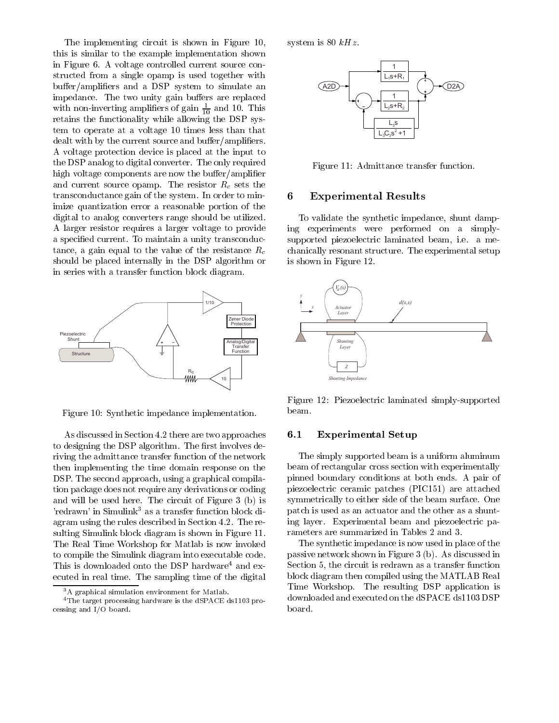The implementing circuit is shown in Figure 10, this is similar to the example implementation shown in Figure 6. A voltage controlled current source constructed from a single opamp is used together with  $buffer/amplifiers$  and a DSP system to simulate an impedance. The two unity gain buffers are replaced with non-inverting amplifiers of gain  $\frac{1}{10}$  and TU. This retains the functionality while allowing the DSP system to operate at a voltage 10 times less than that dealt with by the current source and buffer/amplifiers. A voltage protection device is placed at the input to the DSP analog to digital converter. The only required high voltage components are now the buffer/amplifier and current source opamp. The resistor  $R_c$  sets the transconductance gain of the system. In order to minimize quantization error a reasonable portion of the digital to analog converters range should be utilized. A larger resistor requires a larger voltage to provide a specied current. To maintain a unity transconductance, a gain equal to the value of the resistance  $R_c$ should be placed internally in the DSP algorithm or in series with a transfer function block diagram.



Figure 10: Synthetic impedance implementation.

As discussed in Section 4.2 there are two approaches 6.1 to designing the DSP algorithm. The first involves deriving the admittance transfer function of the network then implementing the time domain response on the DSP. The second approach, using a graphical compilation package does not require any derivations or coding and will be used here. The circuit of Figure 3 (b) is 'redrawn' in Simulink<sup>3</sup> as a transfer function block diagram using the rules described in Section 4.2. The resulting Simulink block diagram is shown in Figure 11. The Real Time Workshop for Matlab is now invoked to compile the Simulink diagram into executable code. This is downloaded onto the DSP hardware<sup>4</sup> and executed in real time. The sampling time of the digital

system is 80  $kHz$ .



Figure 11: Admittance transfer function.

#### 6Experimental Results

To validate the synthetic impedance, shunt damping experiments were performed on a simplysupported piezoelectric laminated beam, i.e. a mechanically resonant structure. The experimental setup is shown in Figure 12.



Figure 12: Piezoelectric laminated simply-supported beam.

### Experimental Setup

The simply supported beam is a uniform aluminum beam of rectangular cross section with experimentally pinned boundary conditions at both ends. A pair of piezoelectric ceramic patches (PIC151) are attached symmetrically to either side of the beam surface. One patch is used as an actuator and the other as a shunting layer. Experimental beam and piezoelectric parameters are summarized in Tables 2 and 3.

The synthetic impedance is now used in place of the passive network shown in Figure 3 (b). As discussed in Section 5, the circuit is redrawn as a transfer function block diagram then compiled using the MATLAB Real Time Workshop. The resulting DSP application is downloaded and executed on the dSPACE ds1103 DSP board.

<sup>3</sup>A graphical simulation environment for Matlab.

<sup>&</sup>lt;sup>4</sup>The target processing hardware is the dSPACE ds1103 processing and I/O board.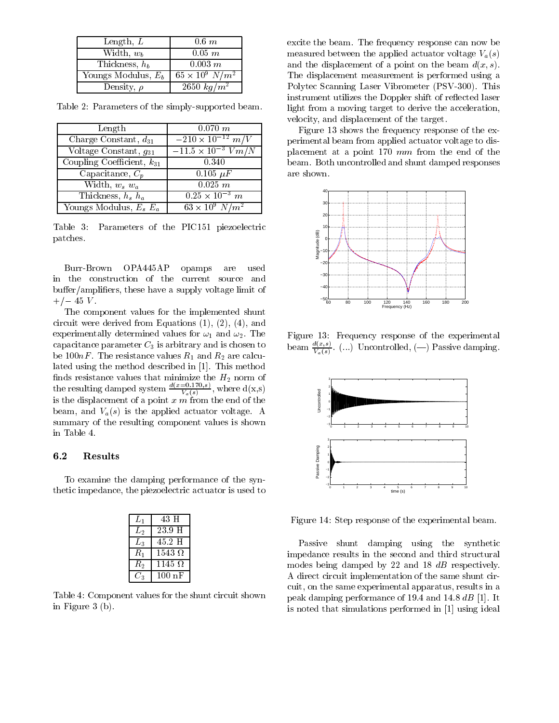| Length, $L$           | $0.6\;m$                 |
|-----------------------|--------------------------|
| Width, $w_b$          | $0.05$ $m$               |
| Thickness, $h_b$      | $0.003 \; m$             |
| Youngs Modulus, $E_b$ | $65 \times 10^9 \ N/m^2$ |
| Density, $\rho$       | $2650\ kg/m^2$           |

Table 2: Parameters of the simply-supported beam.

| Length                               | 0.070 m                     | Ŧ    |
|--------------------------------------|-----------------------------|------|
| Charge Constant, $d_{31}$            | $-210 \times 10^{-12}$ m/V  | per. |
| Voltage Constant, $g_{31}$           | $-11.5 \times 10^{-3} Vm/N$ | plad |
| Coupling Coefficient, $k_{31}$       | 0.340                       | bea  |
| $\overline{\text{Capacitance}}, C_p$ | $0.105 \mu F$               | are  |
| Width, $w_s w_a$                     | 0.025 m                     |      |
| Thickness, $h_s$ $h_a$               | $0.25 \times 10^{-3}$ m     |      |
| Youngs Modulus, $E_s E_a$            | $63 \times 10^9 \ N/m^2$    |      |

Table 3: Parameters of the PIC151 piezoelectric patches.

Burr-Brown OPA445AP opamps are used in the construction of the current source and  $buffer/amplifiers, these have a supply voltage limit of$  $+/- 45 V$ .

The component values for the implemented shunt circuit were derived from Equations (1), (2), (4), and experimentally determined values for  $\omega_1$  and  $\omega_2$ . The capacitance parameter  $C_3$  is arbitrary and is chosen to be 100 $nF$ . The resistance values  $R_1$  and  $R_2$  are calculated using the method described in [1]. This method the resulting damped system  $\frac{d(x=0.170,s)}{V_a(s)}$ , where  $d(x,s)$ is the displacement of a point  $x \in \mathfrak{m}$  from the end of the beam, and  $V_a(s)$  is the applied actuator voltage. A summary of the resulting component values is shown in Table 4.

### 6.2 Results

To examine the damping performance of the synthetic impedance, the piezoelectric actuator is used to

| $L_{\rm 1}$ | 43 H             |
|-------------|------------------|
| L2          | 23.9 H           |
| $L_{\rm 3}$ | 45.2 H           |
| $R_1$       | $1543\ \Omega$   |
| $R_{\rm 2}$ | 1145 $\Omega$    |
|             | $100 \text{ nF}$ |

Table 4: Component values for the shunt circuit shown in Figure 3 (b).

excite the beam. The frequency response can now be measured between the applied actuator voltage  $V_a(s)$ and the displacement of a point on the beam  $d(x, s)$ . The displacement measurement is performed using a Polytec Scanning Laser Vibrometer (PSV-300). This instrument utilizes the Doppler shift of reflected laser light from a moving target to derive the acceleration, velocity, and displacement of the target.

 $10\degree$  V  $m/N$  | placement at a point 170  $mm$  from the end of the Figure 13 shows the frequency response of the experimental beam from applied actuator voltage to disbeam. Both uncontrolled and shunt damped responses are shown.



Figure 13: Frequency response of the experimental beam  $\overline{\mathcal{X}}$ . (...) Uncontrolled, (--) Passive damping. Van Serbian Serbian Serbian Serbian Serbian Serbian Serbian Serbian Serbian Serbian Serbian Serbian Serbian Se



Figure 14: Step response of the experimental beam.

Passive shunt damping using the synthetic impedance results in the second and third structural modes being damped by 22 and 18 dB respectively. A direct circuit implementation of the same shunt circuit, on the same experimental apparatus, results in a peak damping performance of 19.4 and 14.8 dB [1]. It is noted that simulations performed in [1] using ideal